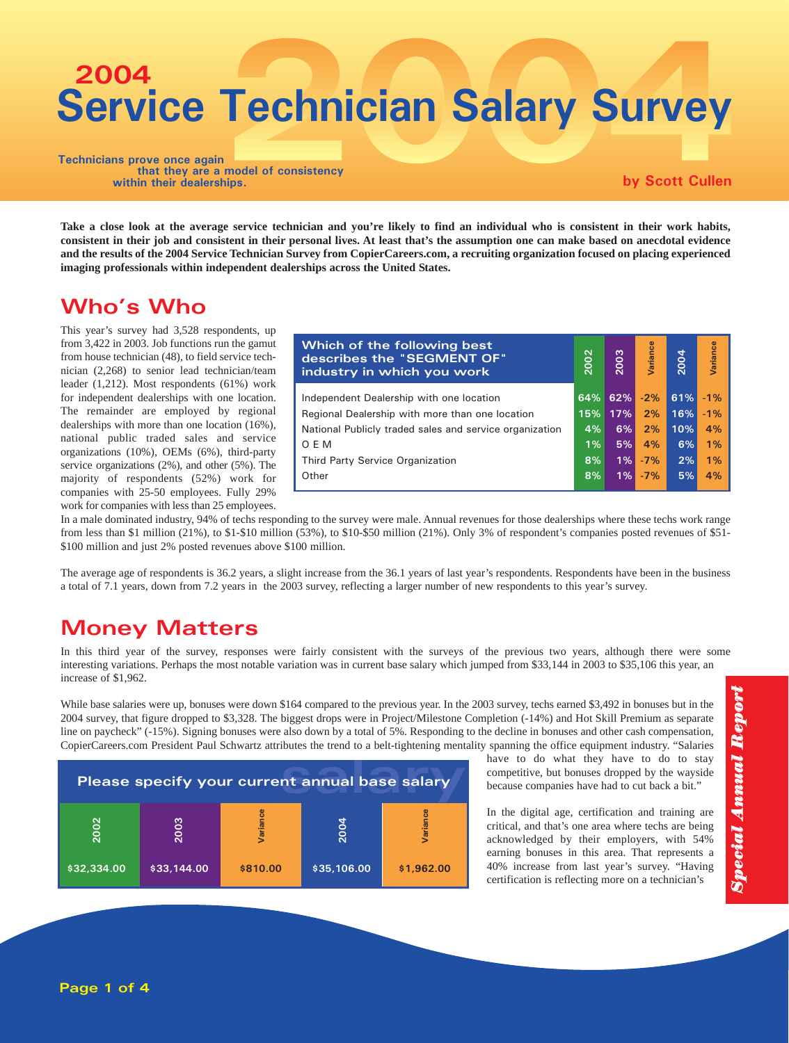# **Service Technician Salary Survey 2004**

**Technicians prove once again that they are a model of consistency within their dealerships.**

**by Scott Cullen**

**Take a close look at the average service technician and you're likely to find an individual who is consistent in their work habits, consistent in their job and consistent in their personal lives. At least that's the assumption one can make based on anecdotal evidence and the results of the 2004 Service Technician Survey from CopierCareers.com, a recruiting organization focused on placing experienced imaging professionals within independent dealerships across the United States.**

#### Who's Who

This year's survey had 3,528 respondents, up from 3,422 in 2003. Job functions run the gamut from house technician (48), to field service technician (2,268) to senior lead technician/team leader (1,212). Most respondents (61%) work for independent dealerships with one location. The remainder are employed by regional dealerships with more than one location (16%), national public traded sales and service organizations (10%), OEMs (6%), third-party service organizations (2%), and other (5%). The majority of respondents (52%) work for companies with 25-50 employees. Fully 29% work for companies with less than 25 employees.

| Which of the following best<br>describes the "SEGMENT OF"<br>industry in which you work | 2002  | 2003 | Variance | 2004 | Variance |
|-----------------------------------------------------------------------------------------|-------|------|----------|------|----------|
| Independent Dealership with one location                                                | 64%   | 62%  | $-2%$    | 61%  | $-1\%$   |
| Regional Dealership with more than one location                                         | 15%   | 17%  | 2%       | 16%  | $-1%$    |
| National Publicly traded sales and service organization                                 | 4%    | 6%   | 2%       | 10%  | 4%       |
| O E M                                                                                   | $1\%$ | 5%   | 4%       | 6%   | 1%       |
| Third Party Service Organization                                                        | 8%    | 1%   | $-7%$    | 2%   | 1%       |
| Other                                                                                   | 8%    | 1%   | $-7%$    | 5%   | 4%       |

In a male dominated industry, 94% of techs responding to the survey were male. Annual revenues for those dealerships where these techs work range from less than \$1 million (21%), to \$1-\$10 million (53%), to \$10-\$50 million (21%). Only 3% of respondent's companies posted revenues of \$51- \$100 million and just 2% posted revenues above \$100 million.

The average age of respondents is 36.2 years, a slight increase from the 36.1 years of last year's respondents. Respondents have been in the business a total of 7.1 years, down from 7.2 years in the 2003 survey, reflecting a larger number of new respondents to this year's survey.

## Money Matters

In this third year of the survey, responses were fairly consistent with the surveys of the previous two years, although there were some interesting variations. Perhaps the most notable variation was in current base salary which jumped from \$33,144 in 2003 to \$35,106 this year, an increase of \$1,962.

While base salaries were up, bonuses were down \$164 compared to the previous year. In the 2003 survey, techs earned \$3,492 in bonuses but in the 2004 survey, that figure dropped to \$3,328. The biggest drops were in Project/Milestone Completion (-14%) and Hot Skill Premium as separate line on paycheck" (-15%). Signing bonuses were also down by a total of 5%. Responding to the decline in bonuses and other cash compensation, CopierCareers.com President Paul Schwartz attributes the trend to a belt-tightening mentality spanning the office equipment industry. "Salaries



have to do what they have to do to stay competitive, but bonuses dropped by the wayside because companies have had to cut back a bit."

In the digital age, certification and training are critical, and that's one area where techs are being acknowledged by their employers, with 54% earning bonuses in this area. That represents a 40% increase from last year's survey. "Having certification is reflecting more on a technician's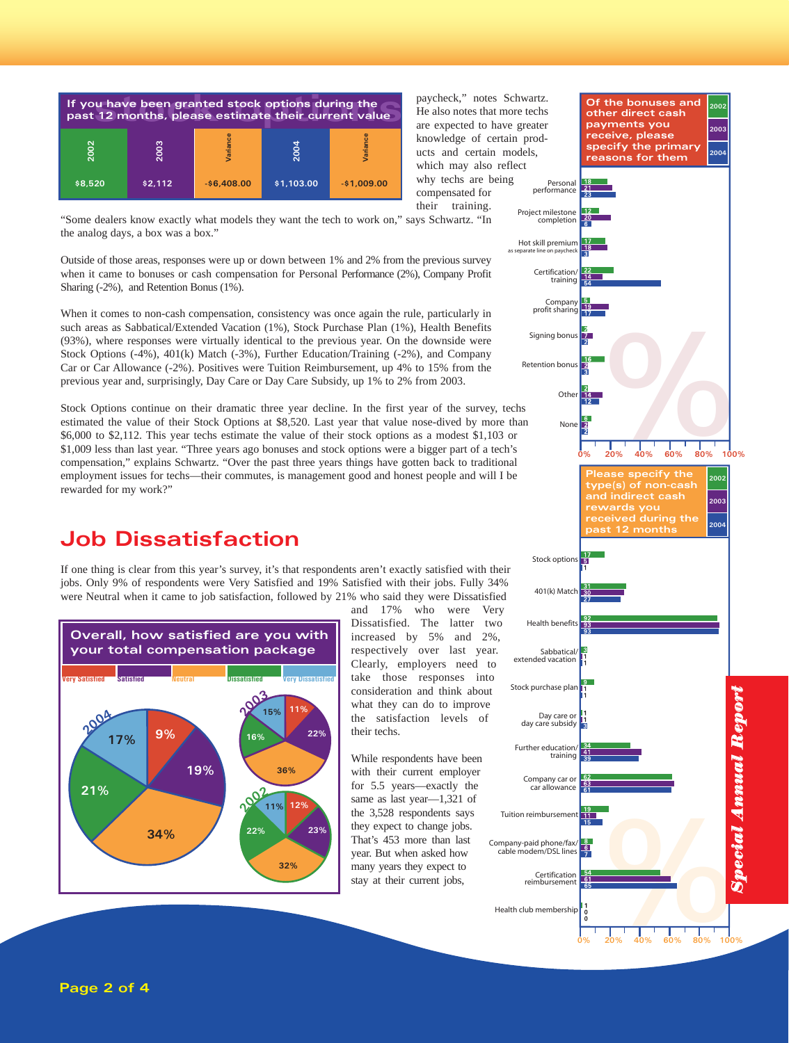

paycheck," notes Schwartz. He also notes that more techs are expected to have greater knowledge of certain products and certain models, which may also reflect why techs are being compensated for their training.

"Some dealers know exactly what models they want the tech to work on," says Schwartz. "In the analog days, a box was a box."

Outside of those areas, responses were up or down between 1% and 2% from the previous survey when it came to bonuses or cash compensation for Personal Performance (2%), Company Profit Sharing (-2%), and Retention Bonus (1%).

When it comes to non-cash compensation, consistency was once again the rule, particularly in such areas as Sabbatical/Extended Vacation (1%), Stock Purchase Plan (1%), Health Benefits (93%), where responses were virtually identical to the previous year. On the downside were Stock Options (-4%), 401(k) Match (-3%), Further Education/Training (-2%), and Company Car or Car Allowance (-2%). Positives were Tuition Reimbursement, up 4% to 15% from the previous year and, surprisingly, Day Care or Day Care Subsidy, up 1% to 2% from 2003.

Stock Options continue on their dramatic three year decline. In the first year of the survey, techs estimated the value of their Stock Options at \$8,520. Last year that value nose-dived by more than \$6,000 to \$2,112. This year techs estimate the value of their stock options as a modest \$1,103 or \$1,009 less than last year. "Three years ago bonuses and stock options were a bigger part of a tech's compensation," explains Schwartz. "Over the past three years things have gotten back to traditional employment issues for techs—their commutes, is management good and honest people and will I be rewarded for my work?"

#### Job Dissatisfaction

If one thing is clear from this year's survey, it's that respondents aren't exactly satisfied with their jobs. Only 9% of respondents were Very Satisfied and 19% Satisfied with their jobs. Fully 34% were Neutral when it came to job satisfaction, followed by 21% who said they were Dissatisfied



and 17% who were Very Dissatisfied. The latter two increased by 5% and 2%, respectively over last year. Clearly, employers need to take those responses into consideration and think about what they can do to improve the satisfaction levels of their techs.

While respondents have been with their current employer for 5.5 years—exactly the same as last year—1,321 of the 3,528 respondents says they expect to change jobs. That's 453 more than last year. But when asked how many years they expect to stay at their current jobs,

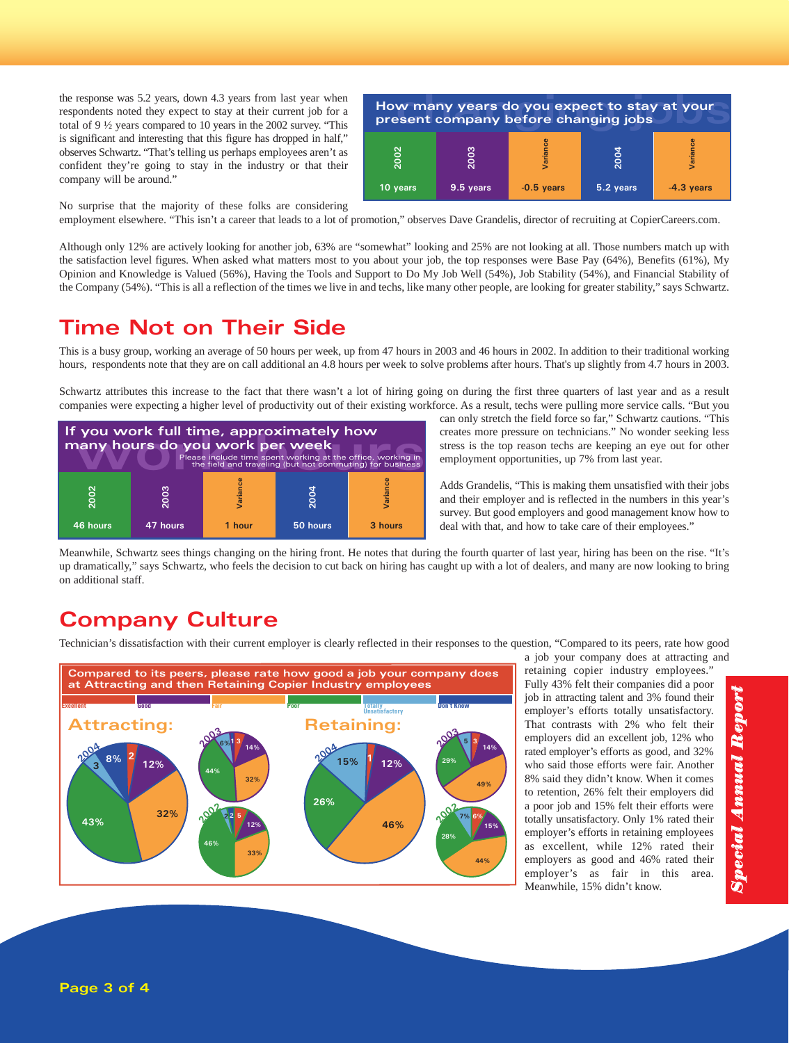the response was 5.2 years, down 4.3 years from last year when respondents noted they expect to stay at their current job for a total of 9 ½ years compared to 10 years in the 2002 survey. "This is significant and interesting that this figure has dropped in half," observes Schwartz. "That's telling us perhaps employees aren't as confident they're going to stay in the industry or that their company will be around."



No surprise that the majority of these folks are considering

employment elsewhere. "This isn't a career that leads to a lot of promotion," observes Dave Grandelis, director of recruiting at CopierCareers.com.

Although only 12% are actively looking for another job, 63% are "somewhat" looking and 25% are not looking at all. Those numbers match up with the satisfaction level figures. When asked what matters most to you about your job, the top responses were Base Pay (64%), Benefits (61%), My Opinion and Knowledge is Valued (56%), Having the Tools and Support to Do My Job Well (54%), Job Stability (54%), and Financial Stability of the Company (54%). "This is all a reflection of the times we live in and techs, like many other people, are looking for greater stability," says Schwartz.

#### Time Not on Their Side

This is a busy group, working an average of 50 hours per week, up from 47 hours in 2003 and 46 hours in 2002. In addition to their traditional working hours, respondents note that they are on call additional an 4.8 hours per week to solve problems after hours. That's up slightly from 4.7 hours in 2003.

Schwartz attributes this increase to the fact that there wasn't a lot of hiring going on during the first three quarters of last year and as a result companies were expecting a higher level of productivity out of their existing workforce. As a result, techs were pulling more service calls. "But you



can only stretch the field force so far," Schwartz cautions. "This creates more pressure on technicians." No wonder seeking less stress is the top reason techs are keeping an eye out for other employment opportunities, up 7% from last year.

Adds Grandelis, "This is making them unsatisfied with their jobs and their employer and is reflected in the numbers in this year's survey. But good employers and good management know how to deal with that, and how to take care of their employees."

Meanwhile, Schwartz sees things changing on the hiring front. He notes that during the fourth quarter of last year, hiring has been on the rise. "It's up dramatically," says Schwartz, who feels the decision to cut back on hiring has caught up with a lot of dealers, and many are now looking to bring on additional staff.

#### Company Culture

Technician's dissatisfaction with their current employer is clearly reflected in their responses to the question, "Compared to its peers, rate how good



a job your company does at attracting and

retaining copier industry employees." Fully 43% felt their companies did a poor job in attracting talent and 3% found their employer's efforts totally unsatisfactory. That contrasts with 2% who felt their employers did an excellent job, 12% who rated employer's efforts as good, and 32% who said those efforts were fair. Another 8% said they didn't know. When it comes to retention, 26% felt their employers did a poor job and 15% felt their efforts were totally unsatisfactory. Only 1% rated their employer's efforts in retaining employees as excellent, while 12% rated their employers as good and 46% rated their employer's as fair in this area. Meanwhile, 15% didn't know.